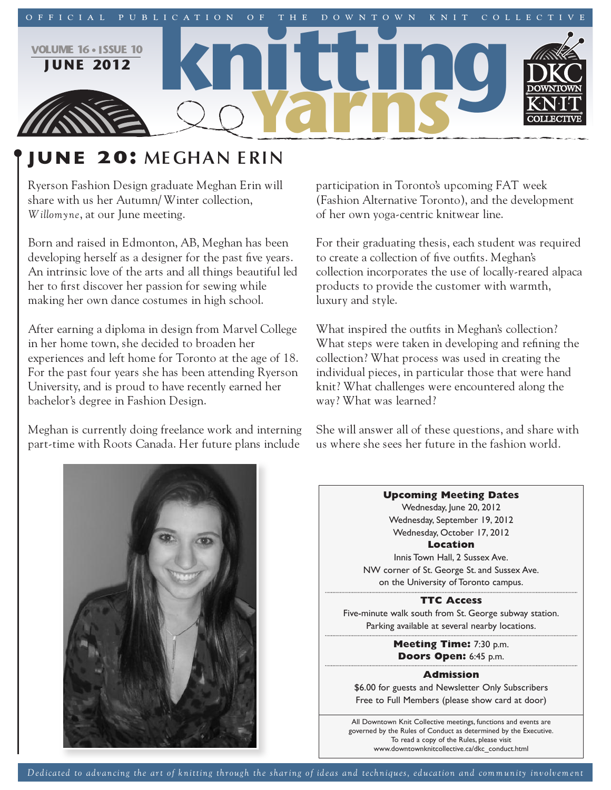

# **june 20: MEGHAN ERIN**

Ryerson Fashion Design graduate Meghan Erin will share with us her Autumn/ Winter collection, *Willomyne*, at our June meeting.

Born and raised in Edmonton, AB, Meghan has been developing herself as a designer for the past five years. An intrinsic love of the arts and all things beautiful led her to first discover her passion for sewing while making her own dance costumes in high school.

After earning a diploma in design from Marvel College in her home town, she decided to broaden her experiences and left home for Toronto at the age of 18. For the past four years she has been attending Ryerson University, and is proud to have recently earned her bachelor's degree in Fashion Design.

Meghan is currently doing freelance work and interning part-time with Roots Canada. Her future plans include

participation in Toronto's upcoming FAT week (Fashion Alternative Toronto), and the development of her own yoga-centric knitwear line.

For their graduating thesis, each student was required to create a collection of five outfits. Meghan's collection incorporates the use of locally-reared alpaca products to provide the customer with warmth, luxury and style.

What inspired the outfits in Meghan's collection? What steps were taken in developing and refining the collection? What process was used in creating the individual pieces, in particular those that were hand knit? What challenges were encountered along the way? What was learned?

She will answer all of these questions, and share with us where she sees her future in the fashion world.



**Upcoming Meeting Dates** Wednesday, June 20, 2012 Wednesday, September 19, 2012 Wednesday, October 17, 2012 **Location** Innis Town Hall, 2 Sussex Ave. NW corner of St. George St. and Sussex Ave. on the University of Toronto campus. **TTC Access** Five-minute walk south from St. George subway station. Parking available at several nearby locations. **Meeting Time:** 7:30 p.m. **Doors Open:** 6:45 p.m. **Admission** \$6.00 for guests and Newsletter Only Subscribers Free to Full Members (please show card at door) All Downtown Knit Collective meetings, functions and events are

> governed by the Rules of Conduct as determined by the Executive. To read a copy of the Rules, please visit www.downtownknitcollective.ca/dkc\_conduct.html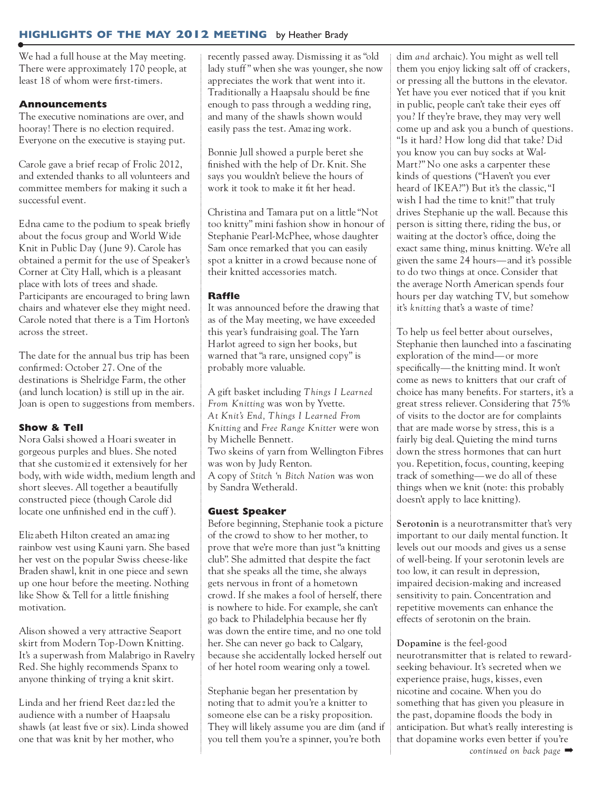# **highlights of the may 2012 meeting** by Heather Brady

We had a full house at the May meeting. There were approximately 170 people, at least 18 of whom were first-timers.

# **Announcements**

The executive nominations are over, and hooray! There is no election required. Everyone on the executive is staying put.

Carole gave a brief recap of Frolic 2012, and extended thanks to all volunteers and committee members for making it such a successful event.

Edna came to the podium to speak briefly about the focus group and World Wide Knit in Public Day (June 9). Carole has obtained a permit for the use of Speaker's Corner at City Hall, which is a pleasant place with lots of trees and shade. Participants are encouraged to bring lawn chairs and whatever else they might need. Carole noted that there is a Tim Horton's across the street.

The date for the annual bus trip has been confirmed: October 27. One of the destinations is Shelridge Farm, the other (and lunch location) is still up in the air. Joan is open to suggestions from members.

## **Show & Tell**

Nora Galsi showed a Hoari sweater in gorgeous purples and blues. She noted that she customiz ed it extensively for her body, with wide width, medium length and short sleeves. All together a beautifully constructed piece (though Carole did locate one unfinished end in the cuff).

Eliz abeth Hilton created an amazing rainbow vest using Kauni yarn. She based her vest on the popular Swiss cheese-like Braden shawl, knit in one piece and sewn up one hour before the meeting. Nothing like Show & Tell for a little finishing motivation.

Alison showed a very attractive Seaport skirt from Modern Top-Down Knitting. It's a superwash from Malabrigo in Ravelry Red. She highly recommends Spanx to anyone thinking of trying a knit skirt.

Linda and her friend Reet dazzled the audience with a number of Haapsalu shawls (at least five or six). Linda showed one that was knit by her mother, who

recently passed away. Dismissing it as "old lady stuff" when she was younger, she now appreciates the work that went into it. Traditionally a Haapsalu should be fine enough to pass through a wedding ring, and many of the shawls shown would easily pass the test. Amazing work.

Bonnie Jull showed a purple beret she finished with the help of Dr. Knit. She says you wouldn't believe the hours of work it took to make it fit her head.

Christina and Tamara put on a little "Not too knitty" mini fashion show in honour of Stephanie Pearl-McPhee, whose daughter Sam once remarked that you can easily spot a knitter in a crowd because none of their knitted accessories match.

## **Raffle**

It was announced before the drawing that as of the May meeting, we have exceeded this year's fundraising goal. The Yarn Harlot agreed to sign her books, but warned that"a rare, unsigned copy" is probably more valuable.

A gift basket including *T hings I Learned From Knitting* was won by Yvette. *At Knit's End, T hings I Learned From Knitting* and *Free Range Knitter* were won by Michelle Bennett. Two skeins of yarn from Wellington Fibres was won by Judy Renton. A copy of *Stitch 'n Bitch Nation* was won by Sandra Wetherald.

#### **Guest Speaker**

Before beginning, Stephanie took a picture of the crowd to show to her mother, to prove that we're more than just"a knitting club". She admitted that despite the fact that she speaks all the time, she always gets nervous in front of a hometown crowd. If she makes a fool of herself, there is nowhere to hide. For example, she can't go back to Philadelphia because her fly was down the entire time, and no one told her. She can never go back to Calgary, because she accidentally locked herself out of her hotel room wearing only a towel.

Stephanie began her presentation by noting that to admit you're a knitter to someone else can be a risky proposition. They will likely assume you are dim (and if you tell them you're a spinner, you're both

dim *and* archaic). You might as well tell them you enjoy licking salt off of crackers, or pressing all the buttons in the elevator. Yet have you ever noticed that if you knit in public, people can't take their eyes off you? If they're brave, they may very well come up and ask you a bunch of questions. "Is it hard? How long did that take? Did you know you can buy socks at Wal-Mart?" No one asks a carpenter these kinds of questions ("Haven't you ever heard of IKEA?") But it's the classic,"I wish I had the time to knit!" that truly drives Stephanie up the wall. Because this person is sitting there, riding the bus, or waiting at the doctor's office, doing the exact same thing, minus knitting. We're all given the same 24 hours—and it's possible to do two things at once. Consider that the average North American spends four hours per day watching TV, but somehow it's *knitting* that's a waste of time?

To help us feel better about ourselves, Stephanie then launched into a fascinating exploration of the mind—or more specifically—the knitting mind. It won't come as news to knitters that our craft of choice has many benefits. For starters, it's a great stress reliever. Considering that 75% of visits to the doctor are for complaints that are made worse by stress, this is a fairly big deal. Quieting the mind turns down the stress hormones that can hurt you. Repetition, focus, counting, keeping track of something—we do all of these things when we knit (note: this probably doesn't apply to lace knitting).

**Serotonin** is a neurotransmitter that's very important to our daily mental function. It levels out our moods and gives us a sense of well-being. If your serotonin levels are too low, it can result in depression, impaired decision-making and increased sensitivity to pain. Concentration and repetitive movements can enhance the effects of serotonin on the brain.

**Dopamine** is the feel-good neurotransmitter that is related to rewardseeking behaviour. It's secreted when we experience praise, hugs, kisses, even nicotine and cocaine. When you do something that has given you pleasure in the past, dopamine floods the body in anticipation. But what's really interesting is that dopamine works even better if you're *continued on back page* ➡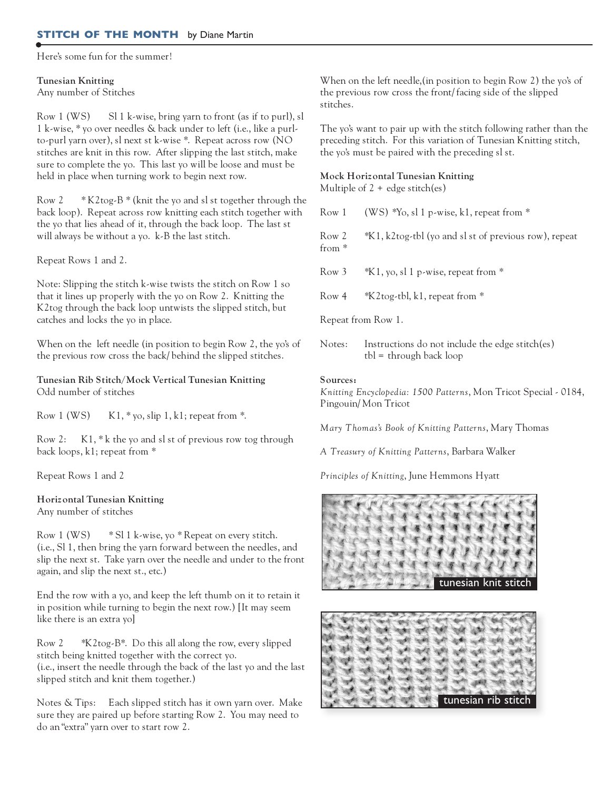## **STITCH OF THE MONTH** by Diane Martin

Here's some fun for the summer!

#### **Tunesian Knitting** Any number of Stitches

Row 1 (WS) Sl 1 k-wise, bring yarn to front (as if to purl), sl 1 k-wise, \* yo over needles & back under to left (i.e., like a purlto-purl yarn over), sl next st k-wise \*. Repeat across row (NO stitches are knit in this row. After slipping the last stitch, make sure to complete the yo. This last yo will be loose and must be held in place when turning work to begin next row.

Row 2  $*$  K2tog-B  $*$  (knit the yo and sl st together through the back loop). Repeat across row knitting each stitch together with the yo that lies ahead of it, through the back loop. The last st will always be without a yo. k-B the last stitch.

Repeat Rows 1 and 2.

Note: Slipping the stitch k-wise twists the stitch on Row 1 so that it lines up properly with the yo on Row 2. Knitting the K2tog through the back loop untwists the slipped stitch, but catches and locks the yo in place.

When on the left needle (in position to begin Row 2, the yo's of the previous row cross the back/ behind the slipped stitches.

**Tunesian Rib Stitch/Mock Vertical Tunesian Knitting** Odd number of stitches

Row 1 (WS)  $K1, *$  yo, slip 1, k1; repeat from  $*$ .

Row 2: K1, \* k the yo and sl st of previous row tog through back loops, k1; repeat from \*

Repeat Rows 1 and 2

## **Horizontal Tunesian Knitting**

Any number of stitches

Row 1 (WS) \* Sl 1 k-wise, yo \* Repeat on every stitch. (i.e., Sl 1, then bring the yarn forward between the needles, and slip the next st. Take yarn over the needle and under to the front again, and slip the next st., etc.)

End the row with a yo, and keep the left thumb on it to retain it in position while turning to begin the next row.) [It may seem like there is an extra yo]

Row 2 \*K2tog-B\*. Do this all along the row, every slipped stitch being knitted together with the correct yo. (i.e., insert the needle through the back of the last yo and the last slipped stitch and knit them together.)

Notes & Tips: Each slipped stitch has it own yarn over. Make sure they are paired up before starting Row 2. You may need to do an "extra" yarn over to start row 2.

When on the left needle,(in position to begin Row 2) the yo's of the previous row cross the front/ facing side of the slipped stitches.

The yo's want to pair up with the stitch following rather than the preceding stitch. For this variation of Tunesian Knitting stitch, the yo's must be paired with the preceding sl st.

## **Mock Horizontal Tunesian Knitting**

Multiple of  $2 +$  edge stitch(es)

Row 1 (WS)  $*$ Yo, sl 1 p-wise, k1, repeat from  $*$ 

Row 2 \*K1, k2tog-tbl (yo and sl st of previous row), repeat from \*

Row 3  $*K1$ , yo, sl 1 p-wise, repeat from  $*$ 

Row 4 \*K2tog-tbl, k1, repeat from \*

Repeat from Row 1.

Notes: Instructions do not include the edge stitch(es) tbl = through back loop

#### **Sources:**

*Knitting Encyclopedia: 1500 Patterns*, Mon Tricot Special - 0184, Pingouin/ Mon Tricot

*Mary T homas's Book of Knitting Patterns*, Mary Thomas

*A Treasury of Knitting Patterns*, Barbara Walker

*Principles of Knitting*, June Hemmons Hyatt